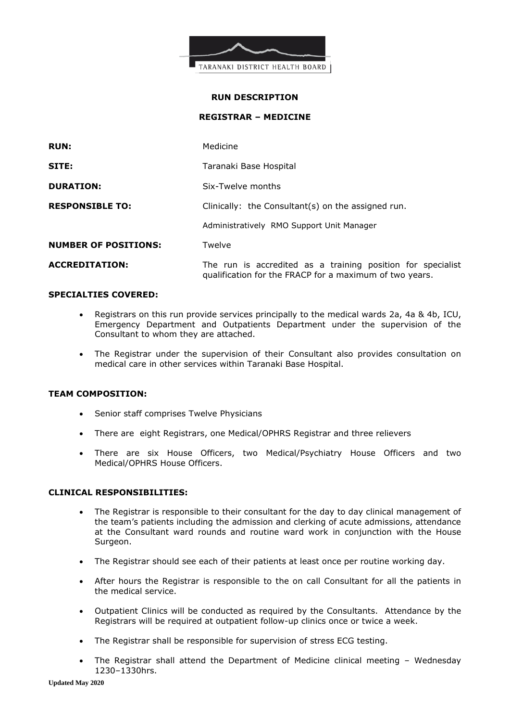

#### **RUN DESCRIPTION**

**REGISTRAR – MEDICINE**

| <b>RUN:</b>                 | Medicine                                                                                                               |
|-----------------------------|------------------------------------------------------------------------------------------------------------------------|
| SITE:                       | Taranaki Base Hospital                                                                                                 |
| <b>DURATION:</b>            | Six-Twelve months                                                                                                      |
| <b>RESPONSIBLE TO:</b>      | Clinically: the Consultant(s) on the assigned run.                                                                     |
|                             | Administratively RMO Support Unit Manager                                                                              |
| <b>NUMBER OF POSITIONS:</b> | Twelve                                                                                                                 |
| <b>ACCREDITATION:</b>       | The run is accredited as a training position for specialist<br>qualification for the FRACP for a maximum of two years. |

### **SPECIALTIES COVERED:**

- Registrars on this run provide services principally to the medical wards 2a, 4a & 4b, ICU, Emergency Department and Outpatients Department under the supervision of the Consultant to whom they are attached.
- The Registrar under the supervision of their Consultant also provides consultation on medical care in other services within Taranaki Base Hospital.

# **TEAM COMPOSITION:**

- Senior staff comprises Twelve Physicians
- There are eight Registrars, one Medical/OPHRS Registrar and three relievers
- There are six House Officers, two Medical/Psychiatry House Officers and two Medical/OPHRS House Officers.

# **CLINICAL RESPONSIBILITIES:**

- The Registrar is responsible to their consultant for the day to day clinical management of the team's patients including the admission and clerking of acute admissions, attendance at the Consultant ward rounds and routine ward work in conjunction with the House Surgeon.
- The Registrar should see each of their patients at least once per routine working day.
- After hours the Registrar is responsible to the on call Consultant for all the patients in the medical service.
- Outpatient Clinics will be conducted as required by the Consultants. Attendance by the Registrars will be required at outpatient follow-up clinics once or twice a week.
- The Registrar shall be responsible for supervision of stress ECG testing.
- The Registrar shall attend the Department of Medicine clinical meeting Wednesday 1230–1330hrs.